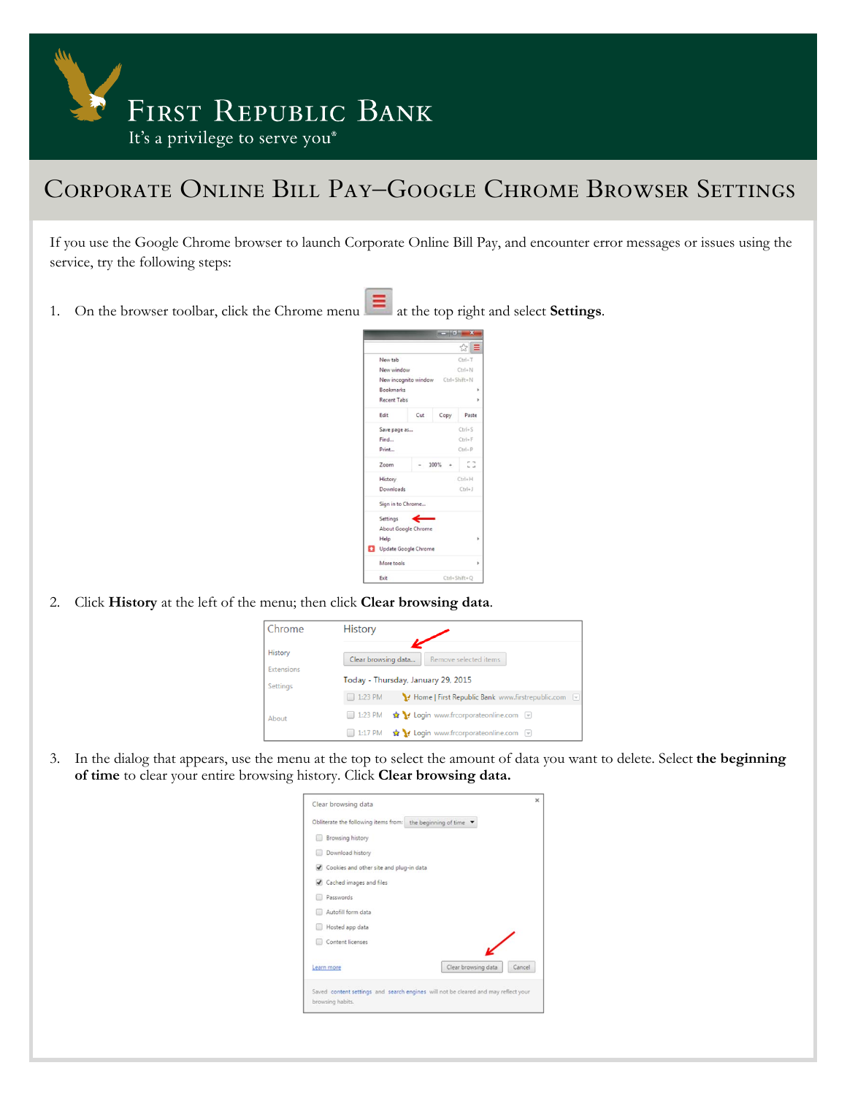

## Corporate Online Bill Pay–Google Chrome Browser Settings

If you use the Google Chrome browser to launch Corporate Online Bill Pay, and encounter error messages or issues using the service, try the following steps:

- 1. On the browser toolbar, click the Chrome menu at the top right and select **Settings**.
	- ☆■ New tab  $Ctrl+T$ New window  $Ctrl + N$ New incognite  $Shift+N$ **Rookmarks** Recent Tabs Edit Cut Copy Paste Save page as.  $Ctrl + S$ Find...  $Ctrl + F$ Print...  $Ctrl + P$  $\mathbb{Z}^2$ Zoom History  $Ctrl + H$ Downlo  $Ch1+1$ Sign in to Chrome. Settings About Google Chron Help Update Google Chrom More tools Exit
- 2. Click **History** at the left of the menu; then click **Clear browsing data**.



3. In the dialog that appears, use the menu at the top to select the amount of data you want to delete. Select **the beginning of time** to clear your entire browsing history. Click **Clear browsing data.**

| Clear browsing data                                                                                    | × |
|--------------------------------------------------------------------------------------------------------|---|
| Obliterate the following items from: the beginning of time                                             |   |
| Browsing history                                                                                       |   |
| Download history                                                                                       |   |
| Cookies and other site and plug-in data                                                                |   |
| Cached images and files                                                                                |   |
| Passwords                                                                                              |   |
| Autofill form data                                                                                     |   |
| Hosted app data                                                                                        |   |
| Content licenses                                                                                       |   |
| Clear browsing data<br>Cancel<br>Learn more                                                            |   |
| Saved content settings and search engines will not be cleared and may reflect your<br>browsing habits. |   |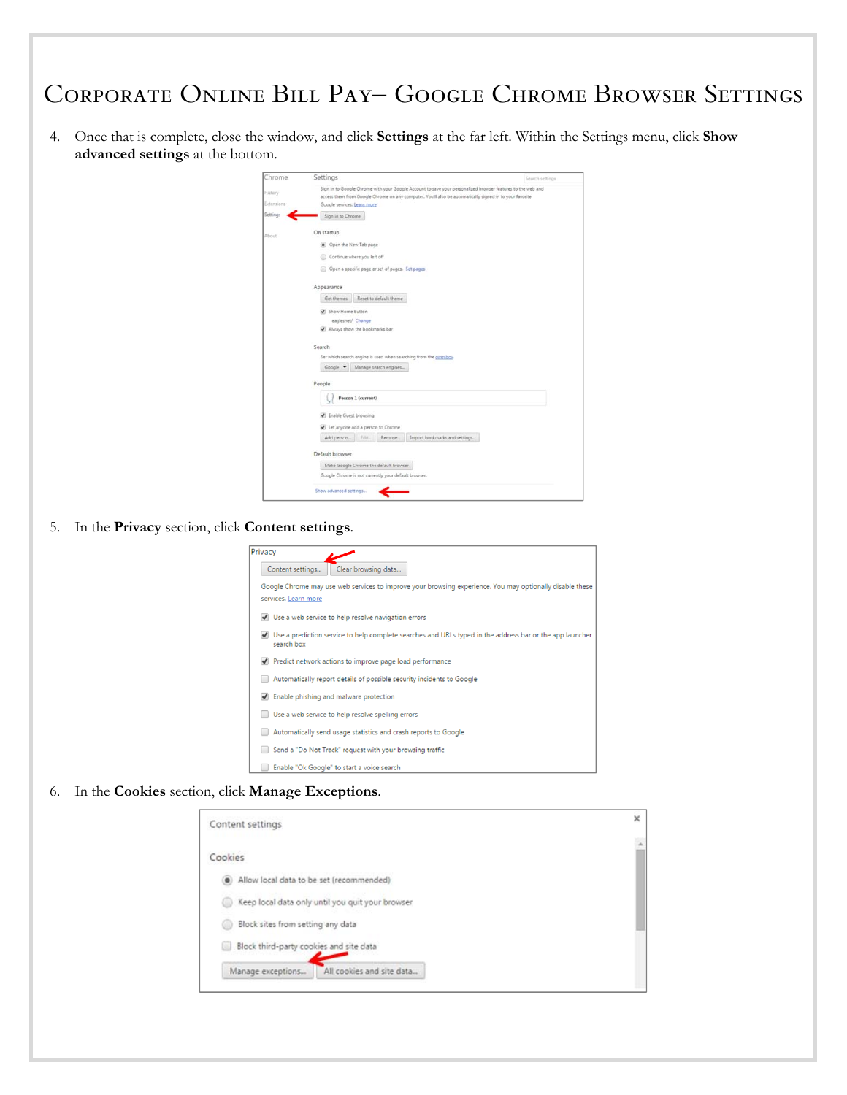## Corporate Online Bill Pay– Google Chrome Browser Settings

4. Once that is complete, close the window, and click **Settings** at the far left. Within the Settings menu, click **Show advanced settings** at the bottom.

| Chrome            | Settings                                                                                                    | Search settings |  |
|-------------------|-------------------------------------------------------------------------------------------------------------|-----------------|--|
| History.          | Sign in to Google Chrome with your Google Account to save your personalized browser features to the web and |                 |  |
|                   | access them from Google Chrome on any computer. You'll also be automatically signed in to your favorite     |                 |  |
| <b>Extensions</b> | Google services. Learn more                                                                                 |                 |  |
| Settings          | Sign in to Chrome                                                                                           |                 |  |
| About             | On startup                                                                                                  |                 |  |
|                   | Open the New Tab page                                                                                       |                 |  |
|                   | Continue where you left off                                                                                 |                 |  |
|                   | Open a specific page or set of pages. Set pages                                                             |                 |  |
|                   | Appearance                                                                                                  |                 |  |
|                   | Reset to default theme<br>Get themes                                                                        |                 |  |
|                   | Show Home button                                                                                            |                 |  |
|                   | eaglesnet/ Change                                                                                           |                 |  |
|                   | Always show the bookmarks bar                                                                               |                 |  |
|                   |                                                                                                             |                 |  |
|                   | Search                                                                                                      |                 |  |
|                   | Set which search engine is used when searching from the omnibox.                                            |                 |  |
|                   | Google -<br>Manage search engines                                                                           |                 |  |
|                   | People                                                                                                      |                 |  |
|                   | Person 1 (current)                                                                                          |                 |  |
|                   | <b>2</b> Enable Guest browsing                                                                              |                 |  |
|                   | Let anyone add a person to Chrome                                                                           |                 |  |
|                   | Import bookmarks and settings<br>Add person<br>Remove<br>Edit.                                              |                 |  |
|                   | Default browser                                                                                             |                 |  |
|                   | Make Google Chrome the default browser.                                                                     |                 |  |
|                   |                                                                                                             |                 |  |
|                   | Google Chrome is not currently your default browser.                                                        |                 |  |

5. In the **Privacy** section, click **Content settings**.

| Privacy |                                                                                                                                  |
|---------|----------------------------------------------------------------------------------------------------------------------------------|
|         | Clear browsing data<br>Content settings                                                                                          |
|         | Google Chrome may use web services to improve your browsing experience. You may optionally disable these<br>services. Learn more |
|         | Use a web service to help resolve navigation errors                                                                              |
|         | Use a prediction service to help complete searches and URLs typed in the address bar or the app launcher<br>search box           |
|         | Predict network actions to improve page load performance                                                                         |
|         | Automatically report details of possible security incidents to Google                                                            |
|         | Enable phishing and malware protection                                                                                           |
|         | Use a web service to help resolve spelling errors                                                                                |
|         | Automatically send usage statistics and crash reports to Google                                                                  |
|         | Send a "Do Not Track" request with your browsing traffic                                                                         |
|         | Enable "Ok Google" to start a voice search                                                                                       |
|         |                                                                                                                                  |

6. In the **Cookies** section, click **Manage Exceptions**.

| Content settings                                 | × |
|--------------------------------------------------|---|
| Cookies                                          |   |
| Allow local data to be set (recommended)         |   |
| Keep local data only until you quit your browser |   |
| Block sites from setting any data                |   |
| Block third-party cookies and site data          |   |
| All cookies and site data<br>Manage exceptions   |   |